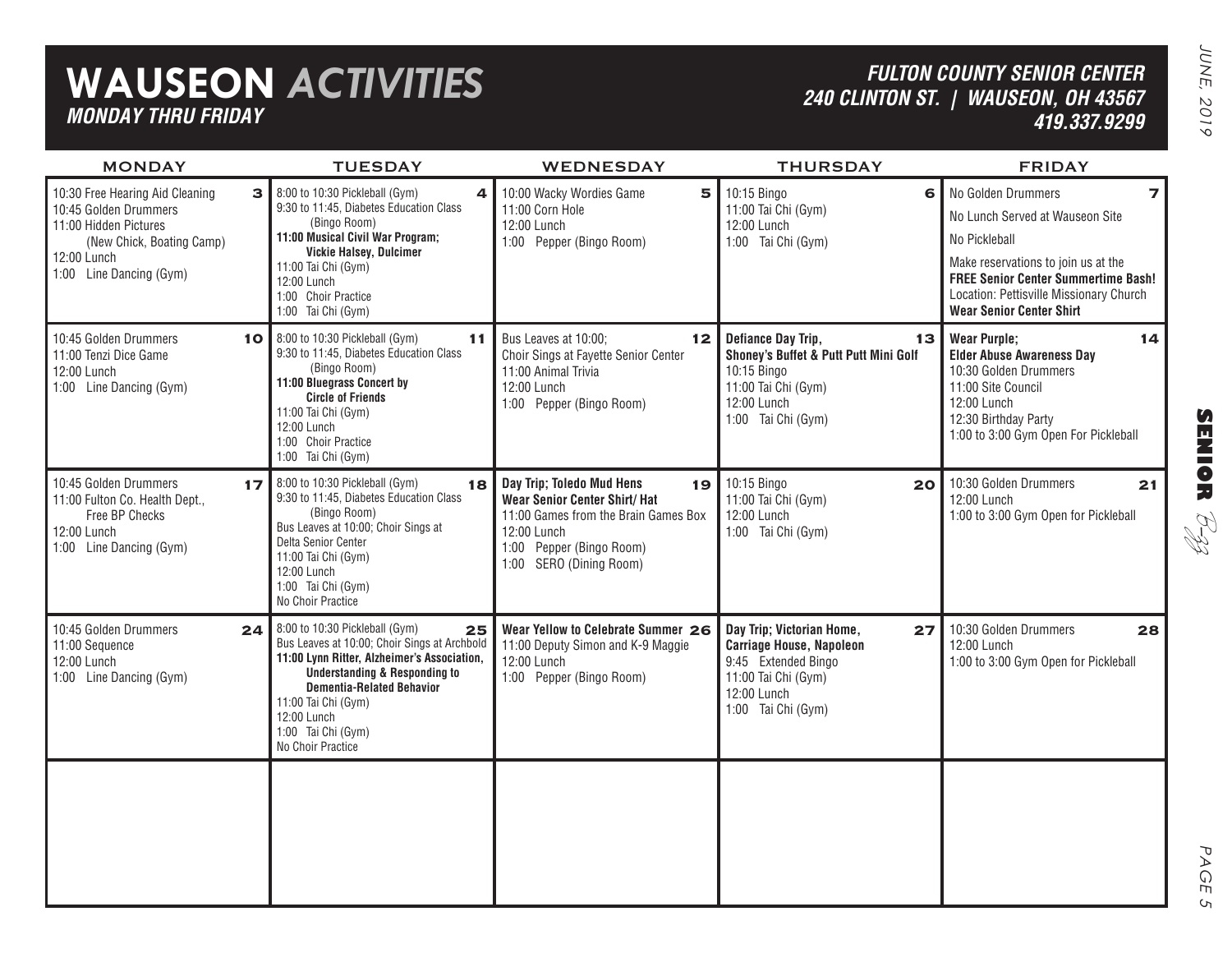| 10:30 Free Hearing Aid Cleaning<br>3 <br>8:00 to 10:30 Pickleball (Gym)<br>9:30 to 11:45, Diabetes Education Class<br>10:45 Golden Drummers<br>(Bingo Room)<br>11:00 Hidden Pictures<br>11:00 Musical Civil War Program;<br>(New Chick, Boating Camp)<br><b>Vickie Halsey, Dulcimer</b><br>12:00 Lunch<br>11:00 Tai Chi (Gym)<br>1:00 Line Dancing (Gym)<br>12:00 Lunch<br>1:00 Choir Practice<br>1:00 Tai Chi (Gym)<br>10 8:00 to 10:30 Pickleball (Gym)<br>9:30 to 11:45, Diabetes Education Class<br>(Bingo Room)<br>11:00 Bluegrass Concert by<br><b>Circle of Friends</b><br>11:00 Tai Chi (Gym)<br>12:00 Lunch | 5<br>10:00 Wacky Wordies Game<br>4<br>11:00 Corn Hole<br>12:00 Lunch<br>1:00 Pepper (Bingo Room)<br>Bus Leaves at 10:00;<br>11<br>$12 \,$<br>Choir Sings at Fayette Senior Center<br>11:00 Animal Trivia | 10:15 Bingo<br>6<br>11:00 Tai Chi (Gym)<br>12:00 Lunch<br>1:00 Tai Chi (Gym)<br>Defiance Day Trip,<br>13                                              | No Golden Drummers<br>$\overline{\phantom{a}}$<br>No Lunch Served at Wauseon Site<br>No Pickleball<br>Make reservations to join us at the<br><b>FREE Senior Center Summertime Bash!</b><br>Location: Pettisville Missionary Church<br><b>Wear Senior Center Shirt</b> |
|----------------------------------------------------------------------------------------------------------------------------------------------------------------------------------------------------------------------------------------------------------------------------------------------------------------------------------------------------------------------------------------------------------------------------------------------------------------------------------------------------------------------------------------------------------------------------------------------------------------------|----------------------------------------------------------------------------------------------------------------------------------------------------------------------------------------------------------|-------------------------------------------------------------------------------------------------------------------------------------------------------|-----------------------------------------------------------------------------------------------------------------------------------------------------------------------------------------------------------------------------------------------------------------------|
| 10:45 Golden Drummers<br>11:00 Tenzi Dice Game<br>12:00 Lunch<br>1:00 Line Dancing (Gym)                                                                                                                                                                                                                                                                                                                                                                                                                                                                                                                             |                                                                                                                                                                                                          |                                                                                                                                                       |                                                                                                                                                                                                                                                                       |
| 1:00 Choir Practice<br>1:00 Tai Chi (Gym)                                                                                                                                                                                                                                                                                                                                                                                                                                                                                                                                                                            | 12:00 Lunch<br>1:00 Pepper (Bingo Room)                                                                                                                                                                  | Shoney's Buffet & Putt Putt Mini Golf<br>10:15 Bingo<br>11:00 Tai Chi (Gym)<br>12:00 Lunch<br>1:00 Tai Chi (Gym)                                      | <b>Wear Purple;</b><br>14<br><b>Elder Abuse Awareness Day</b><br>10:30 Golden Drummers<br>11:00 Site Council<br>12:00 Lunch<br>12:30 Birthday Party<br>1:00 to 3:00 Gym Open For Pickleball                                                                           |
| 8:00 to 10:30 Pickleball (Gym)<br>10:45 Golden Drummers<br>17<br>9:30 to 11:45, Diabetes Education Class<br>11:00 Fulton Co. Health Dept.,<br>(Bingo Room)<br>Free BP Checks<br>Bus Leaves at 10:00; Choir Sings at<br>12:00 Lunch<br>Delta Senior Center<br>1:00 Line Dancing (Gym)<br>11:00 Tai Chi (Gym)<br>12:00 Lunch<br>1:00 Tai Chi (Gym)<br>No Choir Practice                                                                                                                                                                                                                                                | Day Trip; Toledo Mud Hens<br>18<br>19<br><b>Wear Senior Center Shirt/ Hat</b><br>11:00 Games from the Brain Games Box<br>12:00 Lunch<br>1:00 Pepper (Bingo Room)<br>1:00 SERO (Dining Room)              | 10:15 Bingo<br>20<br>11:00 Tai Chi (Gym)<br>12:00 Lunch<br>1:00 Tai Chi (Gym)                                                                         | 10:30 Golden Drummers<br>21<br>12:00 Lunch<br>1:00 to 3:00 Gym Open for Pickleball                                                                                                                                                                                    |
| 8:00 to 10:30 Pickleball (Gym)<br>10:45 Golden Drummers<br>24<br>Bus Leaves at 10:00; Choir Sings at Archbold<br>11:00 Sequence<br>11:00 Lynn Ritter, Alzheimer's Association,<br>12:00 Lunch<br><b>Understanding &amp; Responding to</b><br>1:00 Line Dancing (Gym)<br><b>Dementia-Related Behavior</b><br>11:00 Tai Chi (Gym)<br>12:00 Lunch<br>1:00 Tai Chi (Gym)<br>No Choir Practice                                                                                                                                                                                                                            | Wear Yellow to Celebrate Summer 26<br>25<br>11:00 Deputy Simon and K-9 Maggie<br>12:00 Lunch<br>1:00 Pepper (Bingo Room)                                                                                 | Day Trip; Victorian Home,<br>27<br><b>Carriage House, Napoleon</b><br>9:45 Extended Bingo<br>11:00 Tai Chi (Gym)<br>12:00 Lunch<br>1:00 Tai Chi (Gym) | 10:30 Golden Drummers<br>28<br>12:00 Lunch<br>1:00 to 3:00 Gym Open for Pickleball                                                                                                                                                                                    |

**SENIOR** B-zz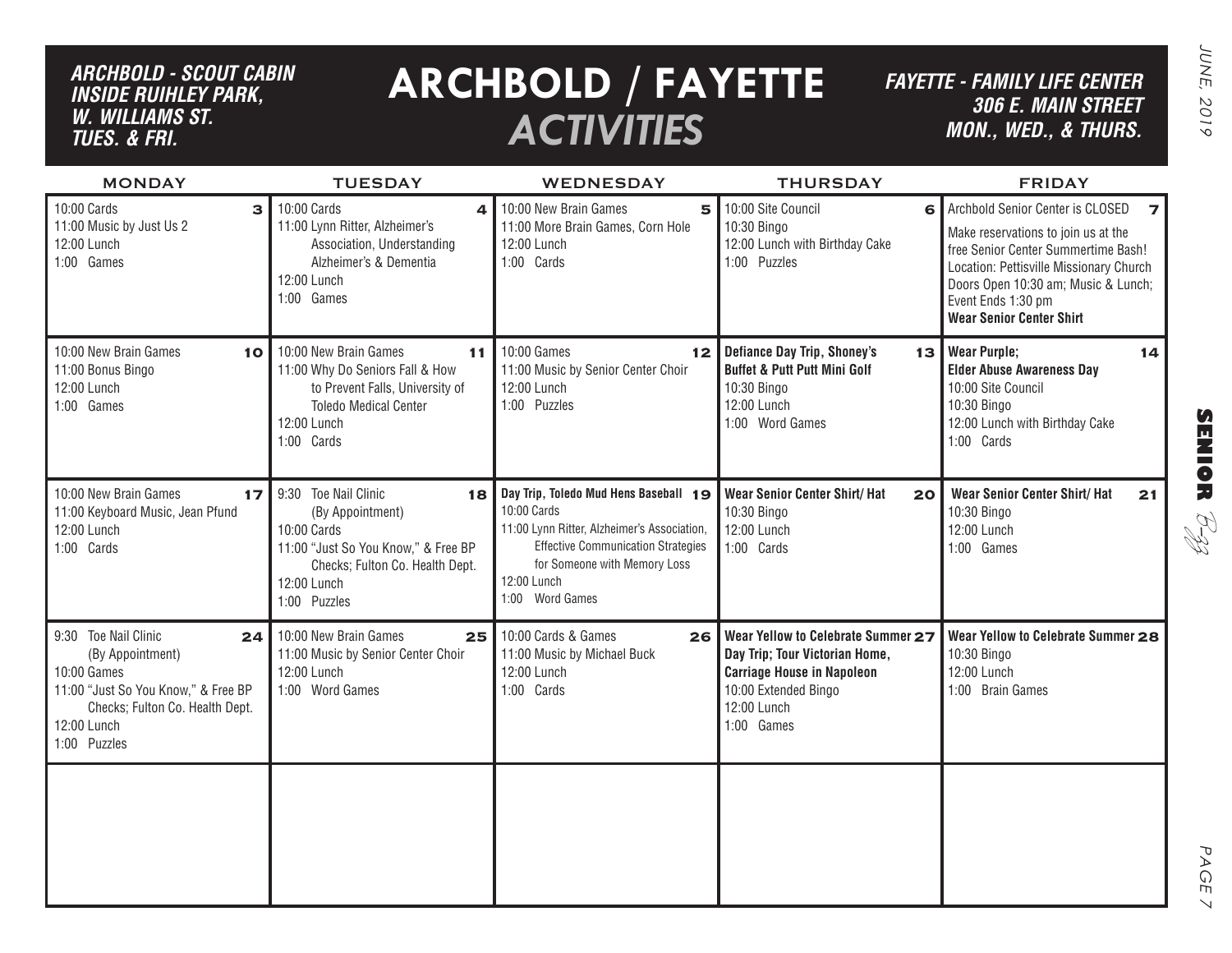# *ARCHBOLD - SCOUT CABIN inside ruihley park, w. williams st. tues. & FRI.*

# **ARCHBOLD / FAYETTE** *ACTIVITIES*

*FAYETTE - FAMILY LIFE CENTER306 E. Main Street MON., Wed., & THURS.*

| <b>MONDAY</b>                                                                                                                                                          | <b>TUESDAY</b>                                                                                                                                                         | <b>WEDNESDAY</b>                                                                                                                                                                                                   | <b>THURSDAY</b>                                                                                                                                                | <b>FRIDAY</b>                                                                                                                                                                                                                                                               |
|------------------------------------------------------------------------------------------------------------------------------------------------------------------------|------------------------------------------------------------------------------------------------------------------------------------------------------------------------|--------------------------------------------------------------------------------------------------------------------------------------------------------------------------------------------------------------------|----------------------------------------------------------------------------------------------------------------------------------------------------------------|-----------------------------------------------------------------------------------------------------------------------------------------------------------------------------------------------------------------------------------------------------------------------------|
| 10:00 Cards<br>3<br>11:00 Music by Just Us 2<br>12:00 Lunch<br>1:00 Games                                                                                              | 10:00 Cards<br>4<br>11:00 Lynn Ritter, Alzheimer's<br>Association, Understanding<br>Alzheimer's & Dementia<br>12:00 Lunch<br>1:00 Games                                | 10:00 New Brain Games<br>5<br>11:00 More Brain Games, Corn Hole<br>12:00 Lunch<br>1:00 Cards                                                                                                                       | 10:00 Site Council<br>6<br>10:30 Bingo<br>12:00 Lunch with Birthday Cake<br>1:00 Puzzles                                                                       | Archbold Senior Center is CLOSED<br>$\overline{z}$<br>Make reservations to join us at the<br>free Senior Center Summertime Bash!<br>Location: Pettisville Missionary Church<br>Doors Open 10:30 am; Music & Lunch;<br>Event Ends 1:30 pm<br><b>Wear Senior Center Shirt</b> |
| 10:00 New Brain Games<br>10 <sub>1</sub><br>11:00 Bonus Bingo<br>12:00 Lunch<br>1:00 Games                                                                             | 10:00 New Brain Games<br>11<br>11:00 Why Do Seniors Fall & How<br>to Prevent Falls, University of<br><b>Toledo Medical Center</b><br>12:00 Lunch<br>1:00 Cards         | 10:00 Games<br>12<br>11:00 Music by Senior Center Choir<br>12:00 Lunch<br>1:00 Puzzles                                                                                                                             | Defiance Day Trip, Shoney's<br>13<br><b>Buffet &amp; Putt Putt Mini Golf</b><br>10:30 Bingo<br>12:00 Lunch<br>1:00 Word Games                                  | <b>Wear Purple:</b><br>14<br><b>Elder Abuse Awareness Day</b><br>10:00 Site Council<br>10:30 Bingo<br>12:00 Lunch with Birthday Cake<br>1:00 Cards                                                                                                                          |
| 10:00 New Brain Games<br>17<br>11:00 Keyboard Music, Jean Pfund<br>12:00 Lunch<br>1:00 Cards                                                                           | 9:30 Toe Nail Clinic<br>18<br>(By Appointment)<br>10:00 Cards<br>11:00 "Just So You Know," & Free BP<br>Checks; Fulton Co. Health Dept.<br>12:00 Lunch<br>1:00 Puzzles | Day Trip, Toledo Mud Hens Baseball 19<br>10:00 Cards<br>11:00 Lynn Ritter, Alzheimer's Association,<br><b>Effective Communication Strategies</b><br>for Someone with Memory Loss<br>12:00 Lunch<br>1:00 Word Games | Wear Senior Center Shirt/ Hat<br>20<br>10:30 Bingo<br>12:00 Lunch<br>1:00 Cards                                                                                | <b>Wear Senior Center Shirt/ Hat</b><br>21<br>10:30 Bingo<br>12:00 Lunch<br>1:00 Games                                                                                                                                                                                      |
| 9:30 Toe Nail Clinic<br>24<br>(By Appointment)<br>10:00 Games<br>11:00 "Just So You Know," & Free BP<br>Checks; Fulton Co. Health Dept.<br>12:00 Lunch<br>1:00 Puzzles | 10:00 New Brain Games<br>25<br>11:00 Music by Senior Center Choir<br>12:00 Lunch<br>1:00 Word Games                                                                    | 10:00 Cards & Games<br>26<br>11:00 Music by Michael Buck<br>12:00 Lunch<br>1:00 Cards                                                                                                                              | Wear Yellow to Celebrate Summer 27<br>Day Trip; Tour Victorian Home,<br><b>Carriage House in Napoleon</b><br>10:00 Extended Bingo<br>12:00 Lunch<br>1:00 Games | Wear Yellow to Celebrate Summer 28<br>10:30 Bingo<br>12:00 Lunch<br>1:00 Brain Games                                                                                                                                                                                        |
|                                                                                                                                                                        |                                                                                                                                                                        |                                                                                                                                                                                                                    |                                                                                                                                                                |                                                                                                                                                                                                                                                                             |

PAGE PAGE 7  $\vee$